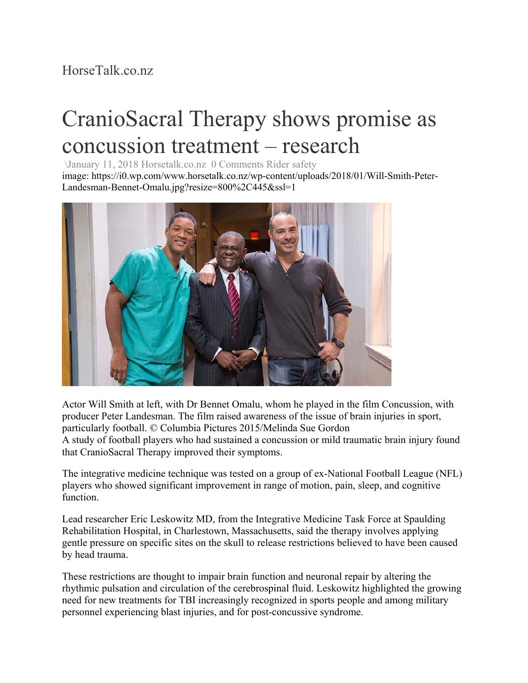## HorseTalk.co.nz

## CranioSacral Therapy shows promise as concussion treatment – research

\January 11, 2018 Horsetalk.co.nz 0 Comments Rider safety

image: https://i0.wp.com/www.horsetalk.co.nz/wp-content/uploads/2018/01/Will-Smith-Peter-Landesman-Bennet-Omalu.jpg?resize=800%2C445&ssl=1



Actor Will Smith at left, with Dr Bennet Omalu, whom he played in the film Concussion, with producer Peter Landesman. The film raised awareness of the issue of brain injuries in sport, particularly football. © Columbia Pictures 2015/Melinda Sue Gordon A study of football players who had sustained a concussion or mild traumatic brain injury found that CranioSacral Therapy improved their symptoms.

The integrative medicine technique was tested on a group of ex-National Football League (NFL) players who showed significant improvement in range of motion, pain, sleep, and cognitive function.

Lead researcher Eric Leskowitz MD, from the Integrative Medicine Task Force at Spaulding Rehabilitation Hospital, in Charlestown, Massachusetts, said the therapy involves applying gentle pressure on specific sites on the skull to release restrictions believed to have been caused by head trauma.

These restrictions are thought to impair brain function and neuronal repair by altering the rhythmic pulsation and circulation of the cerebrospinal fluid. Leskowitz highlighted the growing need for new treatments for TBI increasingly recognized in sports people and among military personnel experiencing blast injuries, and for post-concussive syndrome.